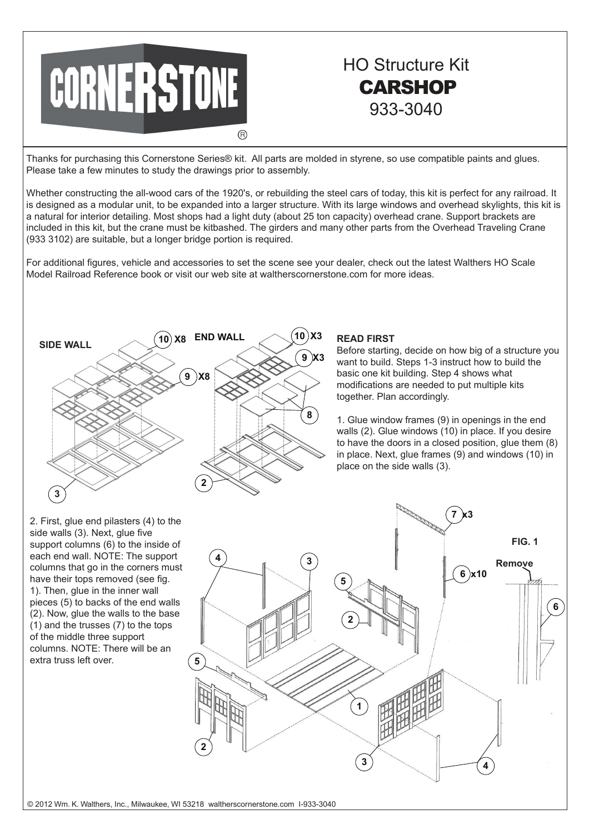

## HO Structure Kit **CARSHOP** 933-3040

Thanks for purchasing this Cornerstone Series® kit. All parts are molded in styrene, so use compatible paints and glues. Please take a few minutes to study the drawings prior to assembly.

Whether constructing the all-wood cars of the 1920's, or rebuilding the steel cars of today, this kit is perfect for any railroad. It is designed as a modular unit, to be expanded into a larger structure. With its large windows and overhead skylights, this kit is a natural for interior detailing. Most shops had a light duty (about 25 ton capacity) overhead crane. Support brackets are included in this kit, but the crane must be kitbashed. The girders and many other parts from the Overhead Traveling Crane (933 3102) are suitable, but a longer bridge portion is required.

For additional figures, vehicle and accessories to set the scene see your dealer, check out the latest Walthers HO Scale Model Railroad Reference book or visit our web site at waltherscornerstone.com for more ideas.



## **READ FIRST**

Before starting, decide on how big of a structure you want to build. Steps 1-3 instruct how to build the basic one kit building. Step 4 shows what modifications are needed to put multiple kits together. Plan accordingly.

1. Glue window frames (9) in openings in the end walls (2). Glue windows (10) in place. If you desire to have the doors in a closed position, glue them (8) in place. Next, glue frames (9) and windows (10) in place on the side walls (3).



2. First, glue end pilasters (4) to the side walls (3). Next, glue five support columns (6) to the inside of each end wall. NOTE: The support columns that go in the corners must have their tops removed (see fig. 1). Then, glue in the inner wall pieces (5) to backs of the end walls (2). Now, glue the walls to the base (1) and the trusses (7) to the tops of the middle three support columns. NOTE: There will be an extra truss left over.